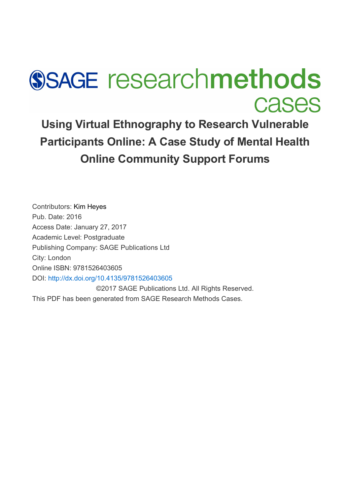# **SSAGE researchmethods Cases**

**Using Virtual Ethnography to Research Vulnerable Participants Online: A Case Study of Mental Health Online Community Support Forums**

Contributors: [Kim Heyes](javascript:void(0);) Pub. Date: 2016 Access Date: January 27, 2017 Academic Level: Postgraduate Publishing Company: SAGE Publications Ltd City: London Online ISBN: 9781526403605 DOI: <http://dx.doi.org/10.4135/9781526403605> ©2017 SAGE Publications Ltd. All Rights Reserved.

This PDF has been generated from SAGE Research Methods Cases.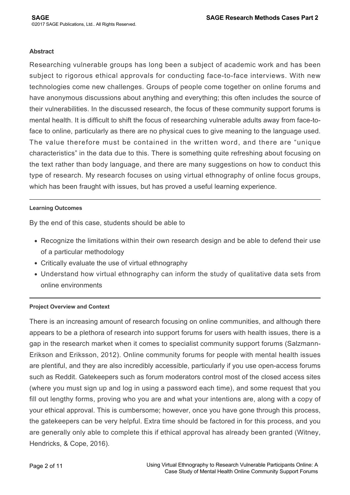## **Abstract**

Researching vulnerable groups has long been a subject of academic work and has been subject to rigorous ethical approvals for conducting face-to-face interviews. With new technologies come new challenges. Groups of people come together on online forums and have anonymous discussions about anything and everything; this often includes the source of their vulnerabilities. In the discussed research, the focus of these community support forums is mental health. It is difficult to shift the focus of researching vulnerable adults away from face-toface to online, particularly as there are no physical cues to give meaning to the language used. The value therefore must be contained in the written word, and there are "unique characteristics" in the data due to this. There is something quite refreshing about focusing on the text rather than body language, and there are many suggestions on how to conduct this type of research. My research focuses on using virtual ethnography of online focus groups, which has been fraught with issues, but has proved a useful learning experience.

# **Learning Outcomes**

By the end of this case, students should be able to

- Recognize the limitations within their own research design and be able to defend their use of a particular methodology
- Critically evaluate the use of virtual ethnography
- Understand how virtual ethnography can inform the study of qualitative data sets from online environments

# **Project Overview and Context**

There is an increasing amount of research focusing on online communities, and although there appears to be a plethora of research into support forums for users with health issues, there is a gap in the research market when it comes to specialist community support forums (Salzmann-Erikson and Eriksson, 2012). Online community forums for people with mental health issues are plentiful, and they are also incredibly accessible, particularly if you use open-access forums such as Reddit. Gatekeepers such as forum moderators control most of the closed access sites (where you must sign up and log in using a password each time), and some request that you fill out lengthy forms, proving who you are and what your intentions are, along with a copy of your ethical approval. This is cumbersome; however, once you have gone through this process, the gatekeepers can be very helpful. Extra time should be factored in for this process, and you are generally only able to complete this if ethical approval has already been granted (Witney, Hendricks, & Cope, 2016).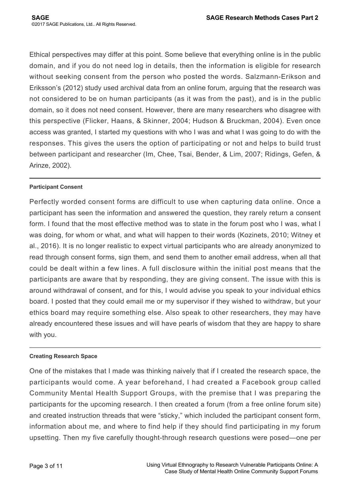Ethical perspectives may differ at this point. Some believe that everything online is in the public domain, and if you do not need log in details, then the information is eligible for research without seeking consent from the person who posted the words. Salzmann-Erikson and Eriksson's (2012) study used archival data from an online forum, arguing that the research was not considered to be on human participants (as it was from the past), and is in the public domain, so it does not need consent. However, there are many researchers who disagree with this perspective (Flicker, Haans, & Skinner, 2004; Hudson & Bruckman, 2004). Even once access was granted, I started my questions with who I was and what I was going to do with the responses. This gives the users the option of participating or not and helps to build trust between participant and researcher (Im, Chee, Tsai, Bender, & Lim, 2007; Ridings, Gefen, & Arinze, 2002).

# **Participant Consent**

Perfectly worded consent forms are difficult to use when capturing data online. Once a participant has seen the information and answered the question, they rarely return a consent form. I found that the most effective method was to state in the forum post who I was, what I was doing, for whom or what, and what will happen to their words (Kozinets, 2010; Witney et al., 2016). It is no longer realistic to expect virtual participants who are already anonymized to read through consent forms, sign them, and send them to another email address, when all that could be dealt within a few lines. A full disclosure within the initial post means that the participants are aware that by responding, they are giving consent. The issue with this is around withdrawal of consent, and for this, I would advise you speak to your individual ethics board. I posted that they could email me or my supervisor if they wished to withdraw, but your ethics board may require something else. Also speak to other researchers, they may have already encountered these issues and will have pearls of wisdom that they are happy to share with you.

# **Creating Research Space**

One of the mistakes that I made was thinking naively that if I created the research space, the participants would come. A year beforehand, I had created a Facebook group called Community Mental Health Support Groups, with the premise that I was preparing the participants for the upcoming research. I then created a forum (from a free online forum site) and created instruction threads that were "sticky," which included the participant consent form, information about me, and where to find help if they should find participating in my forum upsetting. Then my five carefully thought-through research questions were posed—one per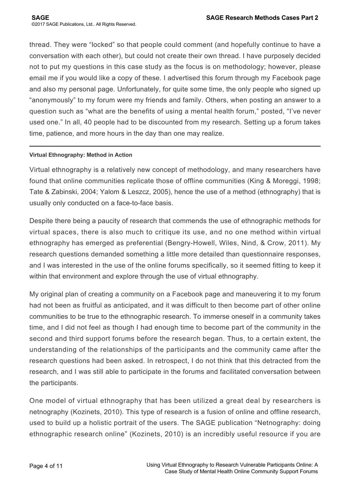thread. They were "locked" so that people could comment (and hopefully continue to have a conversation with each other), but could not create their own thread. I have purposely decided not to put my questions in this case study as the focus is on methodology; however, please email me if you would like a copy of these. I advertised this forum through my Facebook page and also my personal page. Unfortunately, for quite some time, the only people who signed up "anonymously" to my forum were my friends and family. Others, when posting an answer to a question such as "what are the benefits of using a mental health forum," posted, "I've never used one." In all, 40 people had to be discounted from my research. Setting up a forum takes time, patience, and more hours in the day than one may realize.

# **Virtual Ethnography: Method in Action**

Virtual ethnography is a relatively new concept of methodology, and many researchers have found that online communities replicate those of offline communities (King & Moreggi, 1998; Tate & Zabinski, 2004; Yalom & Leszcz, 2005), hence the use of a method (ethnography) that is usually only conducted on a face-to-face basis.

Despite there being a paucity of research that commends the use of ethnographic methods for virtual spaces, there is also much to critique its use, and no one method within virtual ethnography has emerged as preferential (Bengry-Howell, Wiles, Nind, & Crow, 2011). My research questions demanded something a little more detailed than questionnaire responses, and I was interested in the use of the online forums specifically, so it seemed fitting to keep it within that environment and explore through the use of virtual ethnography.

My original plan of creating a community on a Facebook page and maneuvering it to my forum had not been as fruitful as anticipated, and it was difficult to then become part of other online communities to be true to the ethnographic research. To immerse oneself in a community takes time, and I did not feel as though I had enough time to become part of the community in the second and third support forums before the research began. Thus, to a certain extent, the understanding of the relationships of the participants and the community came after the research questions had been asked. In retrospect, I do not think that this detracted from the research, and I was still able to participate in the forums and facilitated conversation between the participants.

One model of virtual ethnography that has been utilized a great deal by researchers is netnography (Kozinets, 2010). This type of research is a fusion of online and offline research, used to build up a holistic portrait of the users. The SAGE publication "Netnography: doing ethnographic research online" (Kozinets, 2010) is an incredibly useful resource if you are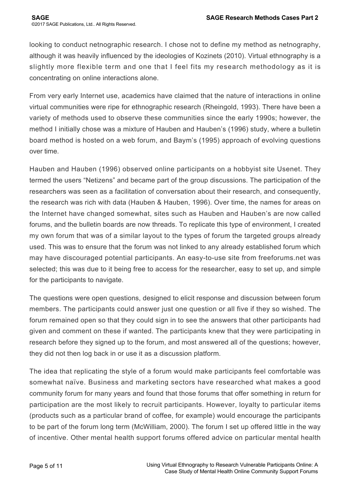looking to conduct netnographic research. I chose not to define my method as netnography, although it was heavily influenced by the ideologies of Kozinets (2010). Virtual ethnography is a slightly more flexible term and one that I feel fits my research methodology as it is concentrating on online interactions alone.

From very early Internet use, academics have claimed that the nature of interactions in online virtual communities were ripe for ethnographic research (Rheingold, 1993). There have been a variety of methods used to observe these communities since the early 1990s; however, the method I initially chose was a mixture of Hauben and Hauben's (1996) study, where a bulletin board method is hosted on a web forum, and Baym's (1995) approach of evolving questions over time.

Hauben and Hauben (1996) observed online participants on a hobbyist site Usenet. They termed the users "Netizens" and became part of the group discussions. The participation of the researchers was seen as a facilitation of conversation about their research, and consequently, the research was rich with data (Hauben & Hauben, 1996). Over time, the names for areas on the Internet have changed somewhat, sites such as Hauben and Hauben's are now called forums, and the bulletin boards are now threads. To replicate this type of environment, I created my own forum that was of a similar layout to the types of forum the targeted groups already used. This was to ensure that the forum was not linked to any already established forum which may have discouraged potential participants. An easy-to-use site from freeforums.net was selected; this was due to it being free to access for the researcher, easy to set up, and simple for the participants to navigate.

The questions were open questions, designed to elicit response and discussion between forum members. The participants could answer just one question or all five if they so wished. The forum remained open so that they could sign in to see the answers that other participants had given and comment on these if wanted. The participants knew that they were participating in research before they signed up to the forum, and most answered all of the questions; however, they did not then log back in or use it as a discussion platform.

The idea that replicating the style of a forum would make participants feel comfortable was somewhat naïve. Business and marketing sectors have researched what makes a good community forum for many years and found that those forums that offer something in return for participation are the most likely to recruit participants. However, loyalty to particular items (products such as a particular brand of coffee, for example) would encourage the participants to be part of the forum long term (McWilliam, 2000). The forum I set up offered little in the way of incentive. Other mental health support forums offered advice on particular mental health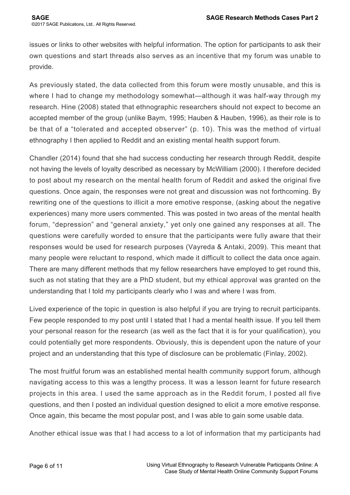issues or links to other websites with helpful information. The option for participants to ask their own questions and start threads also serves as an incentive that my forum was unable to provide.

As previously stated, the data collected from this forum were mostly unusable, and this is where I had to change my methodology somewhat—although it was half-way through my research. Hine (2008) stated that ethnographic researchers should not expect to become an accepted member of the group (unlike Baym, 1995; Hauben & Hauben, 1996), as their role is to be that of a "tolerated and accepted observer" (p. 10). This was the method of virtual ethnography I then applied to Reddit and an existing mental health support forum.

Chandler (2014) found that she had success conducting her research through Reddit, despite not having the levels of loyalty described as necessary by McWilliam (2000). I therefore decided to post about my research on the mental health forum of Reddit and asked the original five questions. Once again, the responses were not great and discussion was not forthcoming. By rewriting one of the questions to illicit a more emotive response, (asking about the negative experiences) many more users commented. This was posted in two areas of the mental health forum, "depression" and "general anxiety," yet only one gained any responses at all. The questions were carefully worded to ensure that the participants were fully aware that their responses would be used for research purposes (Vayreda & Antaki, 2009). This meant that many people were reluctant to respond, which made it difficult to collect the data once again. There are many different methods that my fellow researchers have employed to get round this, such as not stating that they are a PhD student, but my ethical approval was granted on the understanding that I told my participants clearly who I was and where I was from.

Lived experience of the topic in question is also helpful if you are trying to recruit participants. Few people responded to my post until I stated that I had a mental health issue. If you tell them your personal reason for the research (as well as the fact that it is for your qualification), you could potentially get more respondents. Obviously, this is dependent upon the nature of your project and an understanding that this type of disclosure can be problematic (Finlay, 2002).

The most fruitful forum was an established mental health community support forum, although navigating access to this was a lengthy process. It was a lesson learnt for future research projects in this area. I used the same approach as in the Reddit forum, I posted all five questions, and then I posted an individual question designed to elicit a more emotive response. Once again, this became the most popular post, and I was able to gain some usable data.

Another ethical issue was that I had access to a lot of information that my participants had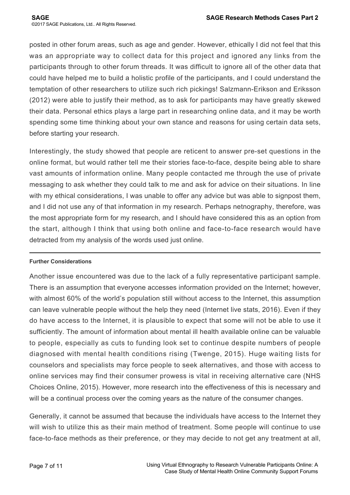posted in other forum areas, such as age and gender. However, ethically I did not feel that this was an appropriate way to collect data for this project and ignored any links from the participants through to other forum threads. It was difficult to ignore all of the other data that could have helped me to build a holistic profile of the participants, and I could understand the temptation of other researchers to utilize such rich pickings! Salzmann-Erikson and Eriksson (2012) were able to justify their method, as to ask for participants may have greatly skewed their data. Personal ethics plays a large part in researching online data, and it may be worth spending some time thinking about your own stance and reasons for using certain data sets, before starting your research.

Interestingly, the study showed that people are reticent to answer pre-set questions in the online format, but would rather tell me their stories face-to-face, despite being able to share vast amounts of information online. Many people contacted me through the use of private messaging to ask whether they could talk to me and ask for advice on their situations. In line with my ethical considerations, I was unable to offer any advice but was able to signpost them, and I did not use any of that information in my research. Perhaps netnography, therefore, was the most appropriate form for my research, and I should have considered this as an option from the start, although I think that using both online and face-to-face research would have detracted from my analysis of the words used just online.

# **Further Considerations**

Another issue encountered was due to the lack of a fully representative participant sample. There is an assumption that everyone accesses information provided on the Internet; however, with almost 60% of the world's population still without access to the Internet, this assumption can leave vulnerable people without the help they need (Internet live stats, 2016). Even if they do have access to the Internet, it is plausible to expect that some will not be able to use it sufficiently. The amount of information about mental ill health available online can be valuable to people, especially as cuts to funding look set to continue despite numbers of people diagnosed with mental health conditions rising (Twenge, 2015). Huge waiting lists for counselors and specialists may force people to seek alternatives, and those with access to online services may find their consumer prowess is vital in receiving alternative care (NHS Choices Online, 2015). However, more research into the effectiveness of this is necessary and will be a continual process over the coming years as the nature of the consumer changes.

Generally, it cannot be assumed that because the individuals have access to the Internet they will wish to utilize this as their main method of treatment. Some people will continue to use face-to-face methods as their preference, or they may decide to not get any treatment at all,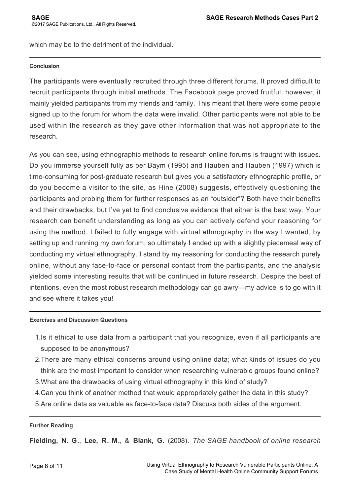which may be to the detriment of the individual.

## **Conclusion**

The participants were eventually recruited through three different forums. It proved difficult to recruit participants through initial methods. The Facebook page proved fruitful; however, it mainly yielded participants from my friends and family. This meant that there were some people signed up to the forum for whom the data were invalid. Other participants were not able to be used within the research as they gave other information that was not appropriate to the research.

As you can see, using ethnographic methods to research online forums is fraught with issues. Do you immerse yourself fully as per Baym (1995) and Hauben and Hauben (1997) which is time-consuming for post-graduate research but gives you a satisfactory ethnographic profile, or do you become a visitor to the site, as Hine (2008) suggests, effectively questioning the participants and probing them for further responses as an "outsider"? Both have their benefits and their drawbacks, but I've yet to find conclusive evidence that either is the best way. Your research can benefit understanding as long as you can actively defend your reasoning for using the method. I failed to fully engage with virtual ethnography in the way I wanted, by setting up and running my own forum, so ultimately I ended up with a slightly piecemeal way of conducting my virtual ethnography. I stand by my reasoning for conducting the research purely online, without any face-to-face or personal contact from the participants, and the analysis yielded some interesting results that will be continued in future research. Despite the best of intentions, even the most robust research methodology can go awry—my advice is to go with it and see where it takes you!

## **Exercises and Discussion Questions**

- 1. Is it ethical to use data from a participant that you recognize, even if all participants are supposed to be anonymous?
- 2. There are many ethical concerns around using online data; what kinds of issues do you think are the most important to consider when researching vulnerable groups found online?
- 3. What are the drawbacks of using virtual ethnography in this kind of study?
- 4. Can you think of another method that would appropriately gather the data in this study?
- 5. Are online data as valuable as face-to-face data? Discuss both sides of the argument.

## **Further Reading**

**Fielding, N. G.**, **Lee, R. M.**, & **Blank, G.** (2008). *The SAGE handbook of online research*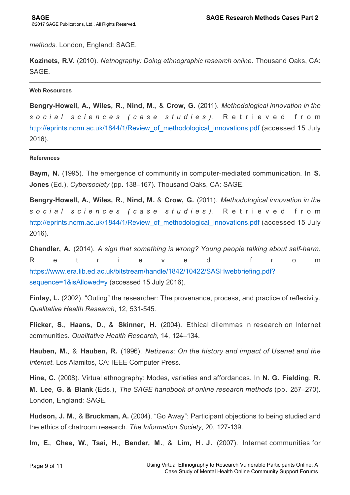*methods*. London, England: SAGE.

**Kozinets, R.V.** (2010). *Netnography: Doing ethnographic research online*. Thousand Oaks, CA: SAGE.

**Web Resources**

**Bengry-Howell, A.**, **Wiles, R.**, **Nind, M.**, & **Crow, G.** (2011). *Methodological innovation in the social sciences (case studies)*. Retrieved from [http://eprints.ncrm.ac.uk/1844/1/Review\\_of\\_methodological\\_innovations.pdf](http://eprints.ncrm.ac.uk/1844/1/Review_of_methodological_innovations.pdf) (accessed 15 July 2016).

#### **References**

**Baym, N.** (1995). The emergence of community in computer-mediated communication. In **S. Jones** (Ed.), *Cybersociety* (pp. 138–167). Thousand Oaks, CA: SAGE.

**Bengry-Howell, A.**, **Wiles, R.**, **Nind, M.** & **Crow, G.** (2011). *Methodological innovation in the social sciences (case studies)*. Retrieved from [http://eprints.ncrm.ac.uk/1844/1/Review\\_of\\_methodological\\_innovations.pdf](http://eprints.ncrm.ac.uk/1844/1/Review_of_methodological_innovations.pdf) (accessed 15 July 2016).

**Chandler, A.** (2014). *A sign that something is wrong? Young people talking about self-harm*. Retrieved from [https://www.era.lib.ed.ac.uk/bitstream/handle/1842/10422/SASHwebbriefing.pdf?](https://www.era.lib.ed.ac.uk/bitstream/handle/1842/10422/SASHwebbriefing.pdf?sequence=1&isAllowed=y) sequence=1&isAllowed=y (accessed 15 July 2016).

**Finlay, L.** (2002). "Outing" the researcher: The provenance, process, and practice of reflexivity. *Qualitative Health Research*, 12, 531-545.

**Flicker, S.**, **Haans, D.**, & **Skinner, H.** (2004). Ethical dilemmas in research on Internet communities. *Qualitative Health Research*, 14, 124–134.

**Hauben, M.**, & **Hauben, R.** (1996). *Netizens: On the history and impact of Usenet and the Internet*. Los Alamitos, CA: IEEE Computer Press.

**Hine, C.** (2008). Virtual ethnography: Modes, varieties and affordances. In **N. G. Fielding**, **R. M. Lee**, **G. & Blank** (Eds.), *The SAGE handbook of online research methods* (pp. 257–270). London, England: SAGE.

**Hudson, J. M.**, & **Bruckman, A.** (2004). "Go Away": Participant objections to being studied and the ethics of chatroom research. *The Information Society*, 20, 127-139.

**Im, E.**, **Chee, W.**, **Tsai, H.**, **Bender, M.**, & **Lim, H. J.** (2007). Internet communities for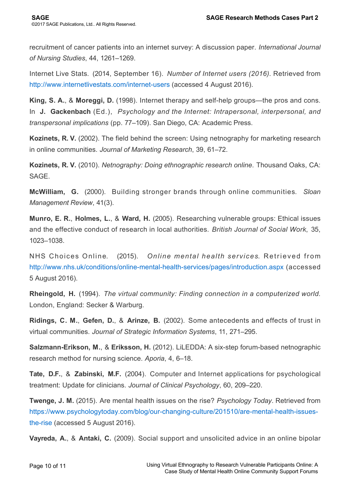recruitment of cancer patients into an internet survey: A discussion paper. *International Journal of Nursing Studies*, 44, 1261–1269.

Internet Live Stats. (2014, September 16). *Number of Internet users (2016)*. Retrieved from <http://www.internetlivestats.com/internet-users>(accessed 4 August 2016).

**King, S. A.**, & **Moreggi, D.** (1998). Internet therapy and self-help groups—the pros and cons. In **J. Gackenbach** (Ed.), *Psychology and the Internet: Intrapersonal, interpersonal, and transpersonal implications* (pp. 77–109). San Diego, CA: Academic Press.

**Kozinets, R. V.** (2002). The field behind the screen: Using netnography for marketing research in online communities. *Journal of Marketing Research*, 39, 61–72.

**Kozinets, R. V.** (2010). *Netnography: Doing ethnographic research online*. Thousand Oaks, CA: SAGE.

**McWilliam, G.** (2000). Building stronger brands through online communities. *Sloan Management Review*, 41(3).

**Munro, E. R.**, **Holmes, L.**, & **Ward, H.** (2005). Researching vulnerable groups: Ethical issues and the effective conduct of research in local authorities. *British Journal of Social Work*, 35, 1023–1038.

NHS Choices Online. (2015). *Online mental health services*. Retrieved from <http://www.nhs.uk/conditions/online-mental-health-services/pages/introduction.aspx> (accessed 5 August 2016).

**Rheingold, H.** (1994). *The virtual community: Finding connection in a computerized world*. London, England: Secker & Warburg.

**Ridings, C. M.**, **Gefen, D.**, & **Arinze, B.** (2002). Some antecedents and effects of trust in virtual communities. *Journal of Strategic Information Systems*, 11, 271–295.

**Salzmann-Erikson, M.**, & **Eriksson, H.** (2012). LiLEDDA: A six-step forum-based netnographic research method for nursing science. *Aporia*, 4, 6–18.

**Tate, D.F.**, & **Zabinski, M.F.** (2004). Computer and Internet applications for psychological treatment: Update for clinicians. *Journal of Clinical Psychology*, 60, 209–220.

**Twenge, J. M.** (2015). Are mental health issues on the rise? *Psychology Today*. Retrieved from [https://www.psychologytoday.com/blog/our-changing-culture/201510/are-mental-health-issues](https://www.psychologytoday.com/blog/our-changing-culture/201510/are-mental-health-issues-the-rise)the-rise (accessed 5 August 2016).

**Vayreda, A.**, & **Antaki, C.** (2009). Social support and unsolicited advice in an online bipolar